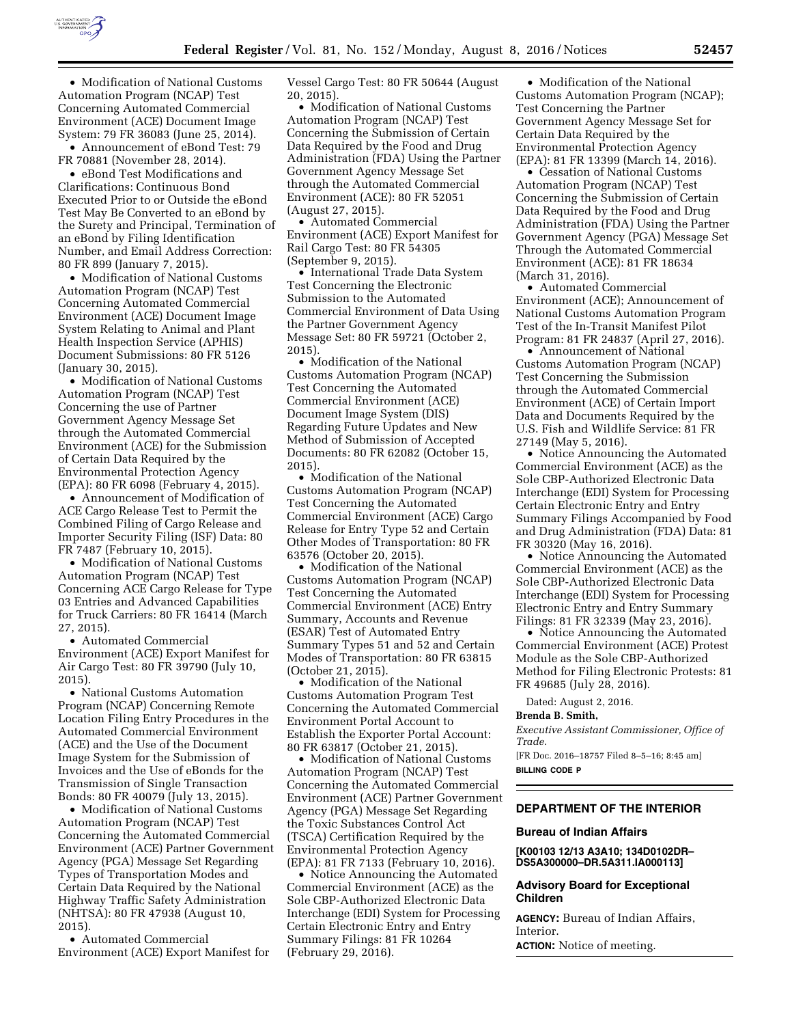

• Modification of National Customs Automation Program (NCAP) Test Concerning Automated Commercial Environment (ACE) Document Image System: 79 FR 36083 (June 25, 2014).

• Announcement of eBond Test: 79 FR 70881 (November 28, 2014).

• eBond Test Modifications and Clarifications: Continuous Bond Executed Prior to or Outside the eBond Test May Be Converted to an eBond by the Surety and Principal, Termination of an eBond by Filing Identification Number, and Email Address Correction: 80 FR 899 (January 7, 2015).

• Modification of National Customs Automation Program (NCAP) Test Concerning Automated Commercial Environment (ACE) Document Image System Relating to Animal and Plant Health Inspection Service (APHIS) Document Submissions: 80 FR 5126 (January 30, 2015).

• Modification of National Customs Automation Program (NCAP) Test Concerning the use of Partner Government Agency Message Set through the Automated Commercial Environment (ACE) for the Submission of Certain Data Required by the Environmental Protection Agency (EPA): 80 FR 6098 (February 4, 2015).

• Announcement of Modification of ACE Cargo Release Test to Permit the Combined Filing of Cargo Release and Importer Security Filing (ISF) Data: 80 FR 7487 (February 10, 2015).

• Modification of National Customs Automation Program (NCAP) Test Concerning ACE Cargo Release for Type 03 Entries and Advanced Capabilities for Truck Carriers: 80 FR 16414 (March 27, 2015).

• Automated Commercial Environment (ACE) Export Manifest for Air Cargo Test: 80 FR 39790 (July 10, 2015).

• National Customs Automation Program (NCAP) Concerning Remote Location Filing Entry Procedures in the Automated Commercial Environment (ACE) and the Use of the Document Image System for the Submission of Invoices and the Use of eBonds for the Transmission of Single Transaction Bonds: 80 FR 40079 (July 13, 2015).

• Modification of National Customs Automation Program (NCAP) Test Concerning the Automated Commercial Environment (ACE) Partner Government Agency (PGA) Message Set Regarding Types of Transportation Modes and Certain Data Required by the National Highway Traffic Safety Administration (NHTSA): 80 FR 47938 (August 10, 2015).

• Automated Commercial Environment (ACE) Export Manifest for Vessel Cargo Test: 80 FR 50644 (August 20, 2015).

• Modification of National Customs Automation Program (NCAP) Test Concerning the Submission of Certain Data Required by the Food and Drug Administration (FDA) Using the Partner Government Agency Message Set through the Automated Commercial Environment (ACE): 80 FR 52051 (August 27, 2015).

• Automated Commercial Environment (ACE) Export Manifest for Rail Cargo Test: 80 FR 54305 (September 9, 2015).

• International Trade Data System Test Concerning the Electronic Submission to the Automated Commercial Environment of Data Using the Partner Government Agency Message Set: 80 FR 59721 (October 2, 2015).

• Modification of the National Customs Automation Program (NCAP) Test Concerning the Automated Commercial Environment (ACE) Document Image System (DIS) Regarding Future Updates and New Method of Submission of Accepted Documents: 80 FR 62082 (October 15, 2015).

• Modification of the National Customs Automation Program (NCAP) Test Concerning the Automated Commercial Environment (ACE) Cargo Release for Entry Type 52 and Certain Other Modes of Transportation: 80 FR 63576 (October 20, 2015).

• Modification of the National Customs Automation Program (NCAP) Test Concerning the Automated Commercial Environment (ACE) Entry Summary, Accounts and Revenue (ESAR) Test of Automated Entry Summary Types 51 and 52 and Certain Modes of Transportation: 80 FR 63815 (October 21, 2015).

• Modification of the National Customs Automation Program Test Concerning the Automated Commercial Environment Portal Account to Establish the Exporter Portal Account: 80 FR 63817 (October 21, 2015).

• Modification of National Customs Automation Program (NCAP) Test Concerning the Automated Commercial Environment (ACE) Partner Government Agency (PGA) Message Set Regarding the Toxic Substances Control Act (TSCA) Certification Required by the Environmental Protection Agency (EPA): 81 FR 7133 (February 10, 2016).

• Notice Announcing the Automated Commercial Environment (ACE) as the Sole CBP-Authorized Electronic Data Interchange (EDI) System for Processing Certain Electronic Entry and Entry Summary Filings: 81 FR 10264 (February 29, 2016).

• Modification of the National Customs Automation Program (NCAP); Test Concerning the Partner Government Agency Message Set for Certain Data Required by the Environmental Protection Agency (EPA): 81 FR 13399 (March 14, 2016).

• Cessation of National Customs Automation Program (NCAP) Test Concerning the Submission of Certain Data Required by the Food and Drug Administration (FDA) Using the Partner Government Agency (PGA) Message Set Through the Automated Commercial Environment (ACE): 81 FR 18634 (March 31, 2016).

• Automated Commercial Environment (ACE); Announcement of National Customs Automation Program Test of the In-Transit Manifest Pilot Program: 81 FR 24837 (April 27, 2016).

• Announcement of National Customs Automation Program (NCAP) Test Concerning the Submission through the Automated Commercial Environment (ACE) of Certain Import Data and Documents Required by the U.S. Fish and Wildlife Service: 81 FR 27149 (May 5, 2016).

• Notice Announcing the Automated Commercial Environment (ACE) as the Sole CBP-Authorized Electronic Data Interchange (EDI) System for Processing Certain Electronic Entry and Entry Summary Filings Accompanied by Food and Drug Administration (FDA) Data: 81 FR 30320 (May 16, 2016).

• Notice Announcing the Automated Commercial Environment (ACE) as the Sole CBP-Authorized Electronic Data Interchange (EDI) System for Processing Electronic Entry and Entry Summary Filings: 81 FR 32339 (May 23, 2016).

• Notice Announcing the Automated Commercial Environment (ACE) Protest Module as the Sole CBP-Authorized Method for Filing Electronic Protests: 81 FR 49685 (July 28, 2016).

Dated: August 2, 2016.

**Brenda B. Smith,** 

*Executive Assistant Commissioner, Office of Trade.* 

[FR Doc. 2016–18757 Filed 8–5–16; 8:45 am] **BILLING CODE P** 

### **DEPARTMENT OF THE INTERIOR**

## **Bureau of Indian Affairs**

**[K00103 12/13 A3A10; 134D0102DR– DS5A300000–DR.5A311.IA000113]** 

## **Advisory Board for Exceptional Children**

**AGENCY:** Bureau of Indian Affairs, Interior.

**ACTION:** Notice of meeting.